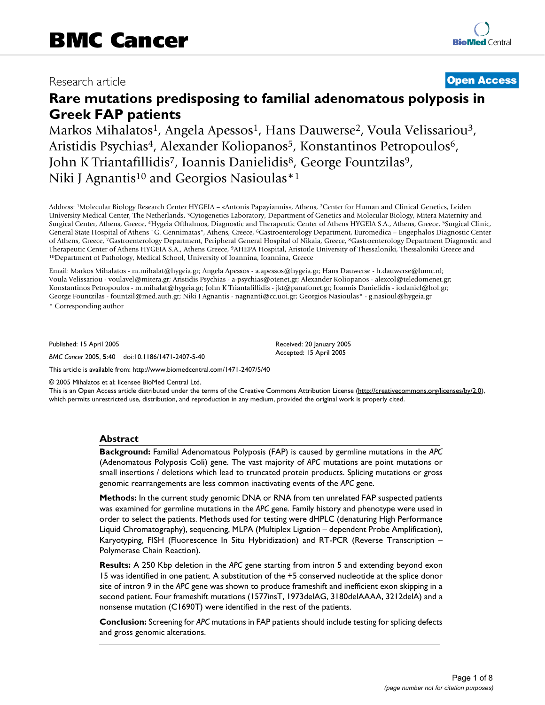# Research article **[Open Access](http://www.biomedcentral.com/info/about/charter/)**

# **Rare mutations predisposing to familial adenomatous polyposis in Greek FAP patients**

Markos Mihalatos<sup>1</sup>, Angela Apessos<sup>1</sup>, Hans Dauwerse<sup>2</sup>, Voula Velissariou<sup>3</sup>, Aristidis Psychias<sup>4</sup>, Alexander Koliopanos<sup>5</sup>, Konstantinos Petropoulos<sup>6</sup>, John K Triantafillidis<sup>7</sup>, Ioannis Danielidis<sup>8</sup>, George Fountzilas<sup>9</sup>, Niki J Agnantis<sup>10</sup> and Georgios Nasioulas<sup>\*1</sup>

Address: 1Molecular Biology Research Center HYGEIA – «Antonis Papayiannis», Athens, 2Center for Human and Clinical Genetics, Leiden University Medical Center, The Netherlands, 3Cytogenetics Laboratory, Department of Genetics and Molecular Biology, Mitera Maternity and Surgical Center, Athens, Greece, 4Hygeia Ofthalmos, Diagnostic and Therapeutic Center of Athens HYGEIA S.A., Athens, Greece, 5Surgical Clinic, General State Hospital of Athens "G. Gennimatas", Athens, Greece, 6Gastroenterology Department, Euromedica – Engephalos Diagnostic Center of Athens, Greece, 7Gastroenterology Department, Peripheral General Hospital of Nikaia, Greece, 8Gastroenterology Department Diagnostic and Therapeutic Center of Athens HYGEIA S.A., Athens Greece, <sup>9</sup>AHEPA Hospital, Aristotle University of Thessaloniki, Thessaloniki Greece and <sup>10</sup>Department of Pathology, Medical School, University of Ioannina, Ioannina, Greec

Email: Markos Mihalatos - m.mihalat@hygeia.gr; Angela Apessos - a.apessos@hygeia.gr; Hans Dauwerse - h.dauwerse@lumc.nl; Voula Velissariou - voulavel@mitera.gr; Aristidis Psychias - a-psychias@otenet.gr; Alexander Koliopanos - alexcol@teledomenet.gr; Konstantinos Petropoulos - m.mihalat@hygeia.gr; John K Triantafillidis - jkt@panafonet.gr; Ioannis Danielidis - iodaniel@hol.gr; George Fountzilas - fountzil@med.auth.gr; Niki J Agnantis - nagnanti@cc.uoi.gr; Georgios Nasioulas\* - g.nasioul@hygeia.gr \* Corresponding author

Published: 15 April 2005

*BMC Cancer* 2005, **5**:40 doi:10.1186/1471-2407-5-40

Received: 20 January 2005 Accepted: 15 April 2005

© 2005 Mihalatos et al; licensee BioMed Central Ltd.

[This article is available from: http://www.biomedcentral.com/1471-2407/5/40](http://www.biomedcentral.com/1471-2407/5/40)

This is an Open Access article distributed under the terms of the Creative Commons Attribution License [\(http://creativecommons.org/licenses/by/2.0\)](http://creativecommons.org/licenses/by/2.0), which permits unrestricted use, distribution, and reproduction in any medium, provided the original work is properly cited.

# **Abstract**

**Background:** Familial Adenomatous Polyposis (FAP) is caused by germline mutations in the *APC* (Adenomatous Polyposis Coli) gene. The vast majority of *APC* mutations are point mutations or small insertions / deletions which lead to truncated protein products. Splicing mutations or gross genomic rearrangements are less common inactivating events of the *APC* gene.

**Methods:** In the current study genomic DNA or RNA from ten unrelated FAP suspected patients was examined for germline mutations in the *APC* gene. Family history and phenotype were used in order to select the patients. Methods used for testing were dHPLC (denaturing High Performance Liquid Chromatography), sequencing, MLPA (Multiplex Ligation – dependent Probe Amplification), Karyotyping, FISH (Fluorescence In Situ Hybridization) and RT-PCR (Reverse Transcription – Polymerase Chain Reaction).

**Results:** A 250 Kbp deletion in the *APC* gene starting from intron 5 and extending beyond exon 15 was identified in one patient. A substitution of the +5 conserved nucleotide at the splice donor site of intron 9 in the *APC* gene was shown to produce frameshift and inefficient exon skipping in a second patient. Four frameshift mutations (1577insT, 1973delAG, 3180delAAAA, 3212delA) and a nonsense mutation (C1690T) were identified in the rest of the patients.

**Conclusion:** Screening for *APC* mutations in FAP patients should include testing for splicing defects and gross genomic alterations.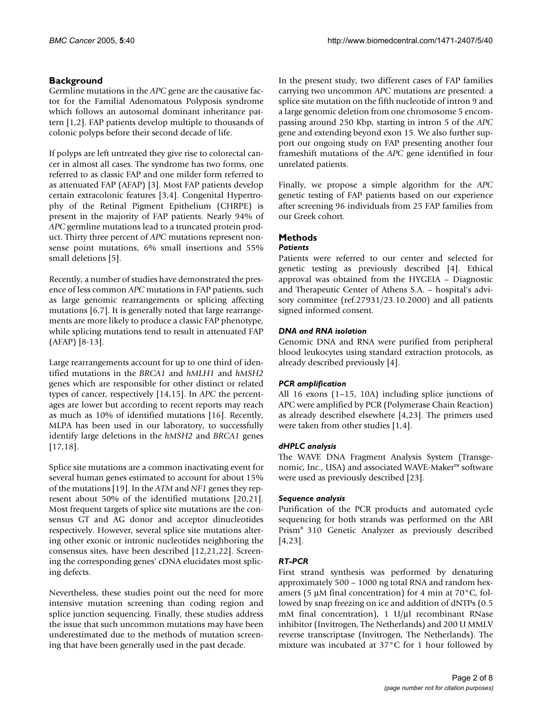# **Background**

Germline mutations in the *APC* gene are the causative factor for the Familial Adenomatous Polyposis syndrome which follows an autosomal dominant inheritance pattern [1,2]. FAP patients develop multiple to thousands of colonic polyps before their second decade of life.

If polyps are left untreated they give rise to colorectal cancer in almost all cases. The syndrome has two forms, one referred to as classic FAP and one milder form referred to as attenuated FAP (AFAP) [3]. Most FAP patients develop certain extracolonic features [3,4]. Congenital Hypertrophy of the Retinal Pigment Epithelium (CHRPE) is present in the majority of FAP patients. Nearly 94% of *APC* germline mutations lead to a truncated protein product. Thirty three percent of *APC* mutations represent nonsense point mutations, 6% small insertions and 55% small deletions [5].

Recently, a number of studies have demonstrated the presence of less common *APC* mutations in FAP patients, such as large genomic rearrangements or splicing affecting mutations [6,7]. It is generally noted that large rearrangements are more likely to produce a classic FAP phenotype, while splicing mutations tend to result in attenuated FAP (AFAP) [8-13].

Large rearrangements account for up to one third of identified mutations in the *BRCA1* and *hMLH1* and *hMSH2* genes which are responsible for other distinct or related types of cancer, respectively [14,15]. In *APC* the percentages are lower but according to recent reports may reach as much as 10% of identified mutations [16]. Recently, MLPA has been used in our laboratory, to successfully identify large deletions in the *hMSH2* and *BRCA1* genes [[17](#page-7-0),18].

Splice site mutations are a common inactivating event for several human genes estimated to account for about 15% of the mutations [19]. In the *ATM* and *NF1* genes they represent about 50% of the identified mutations [20,21]. Most frequent targets of splice site mutations are the consensus GT and AG donor and acceptor dinucleotides respectively. However, several splice site mutations altering other exonic or intronic nucleotides neighboring the consensus sites, have been described [12,21,22]. Screening the corresponding genes' cDNA elucidates most splicing defects.

Nevertheless, these studies point out the need for more intensive mutation screening than coding region and splice junction sequencing. Finally, these studies address the issue that such uncommon mutations may have been underestimated due to the methods of mutation screening that have been generally used in the past decade.

In the present study, two different cases of FAP families carrying two uncommon *APC* mutations are presented: a splice site mutation on the fifth nucleotide of intron 9 and a large genomic deletion from one chromosome 5 encompassing around 250 Kbp, starting in intron 5 of the *APC* gene and extending beyond exon 15. We also further support our ongoing study on FAP presenting another four frameshift mutations of the *APC* gene identified in four unrelated patients.

Finally, we propose a simple algorithm for the *APC* genetic testing of FAP patients based on our experience after screening 96 individuals from 25 FAP families from our Greek cohort.

# **Methods**

# *Patients*

Patients were referred to our center and selected for genetic testing as previously described [4]. Ethical approval was obtained from the HYGEIA – Diagnostic and Therapeutic Center of Athens S.A. – hospital's advisory committee (ref.27931/23.10.2000) and all patients signed informed consent.

# *DNA and RNA isolation*

Genomic DNA and RNA were purified from peripheral blood leukocytes using standard extraction protocols, as already described previously [4].

# *PCR amplification*

All 16 exons (1–15, 10A) including splice junctions of APC were amplified by PCR (Polymerase Chain Reaction) as already described elsewhere [4,23]. The primers used were taken from other studies [1,4].

# *dHPLC analysis*

The WAVE DNA Fragment Analysis System (Transgenomic, Inc., USA) and associated WAVE-Maker™ software were used as previously described [23].

# *Sequence analysis*

Purification of the PCR products and automated cycle sequencing for both strands was performed on the ABI Prism® 310 Genetic Analyzer as previously described [4,23].

# *RT-PCR*

First strand synthesis was performed by denaturing approximately 500 – 1000 ng total RNA and random hexamers (5 µM final concentration) for 4 min at 70°C, followed by snap freezing on ice and addition of dNTPs (0.5 mM final concentration), 1  $U/\mu l$  recombinant RNase inhibitor (Invitrogen, The Netherlands) and 200 U MMLV reverse transcriptase (Invitrogen, The Netherlands). The mixture was incubated at 37°C for 1 hour followed by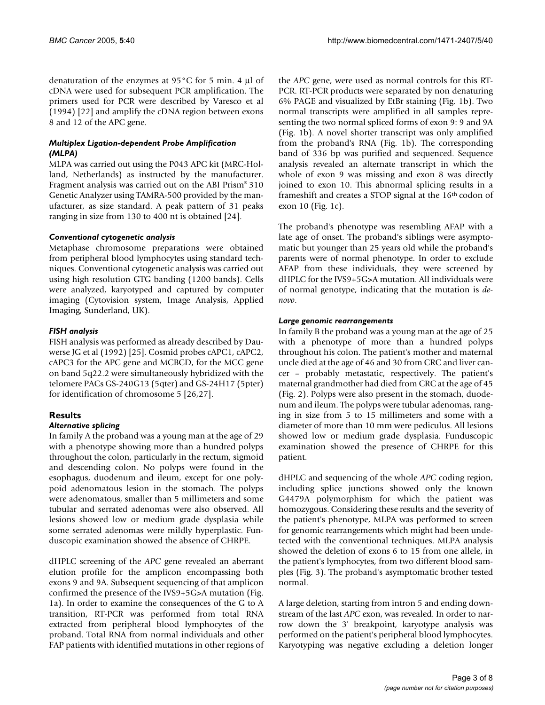denaturation of the enzymes at 95°C for 5 min. 4 µl of cDNA were used for subsequent PCR amplification. The primers used for PCR were described by Varesco et al (1994) [22] and amplify the cDNA region between exons 8 and 12 of the APC gene.

# *Multiplex Ligation-dependent Probe Amplification (MLPA)*

MLPA was carried out using the P043 APC kit (MRC-Holland, Netherlands) as instructed by the manufacturer. Fragment analysis was carried out on the ABI Prism® 310 Genetic Analyzer using TAMRA-500 provided by the manufacturer, as size standard. A peak pattern of 31 peaks ranging in size from 130 to 400 nt is obtained [24].

# *Conventional cytogenetic analysis*

Metaphase chromosome preparations were obtained from peripheral blood lymphocytes using standard techniques. Conventional cytogenetic analysis was carried out using high resolution GTG banding (1200 bands). Cells were analyzed, karyotyped and captured by computer imaging (Cytovision system, Image Analysis, Applied Imaging, Sunderland, UK).

# *FISH analysis*

FISH analysis was performed as already described by Dauwerse JG et al (1992) [25]. Cosmid probes cAPC1, cAPC2, cAPC3 for the APC gene and MCBCD, for the MCC gene on band 5q22.2 were simultaneously hybridized with the telomere PACs GS-240G13 (5qter) and GS-24H17 (5pter) for identification of chromosome 5 [26,27].

# **Results**

# *Alternative splicing*

In family A the proband was a young man at the age of 29 with a phenotype showing more than a hundred polyps throughout the colon, particularly in the rectum, sigmoid and descending colon. No polyps were found in the esophagus, duodenum and ileum, except for one polypoid adenomatous lesion in the stomach. The polyps were adenomatous, smaller than 5 millimeters and some tubular and serrated adenomas were also observed. All lesions showed low or medium grade dysplasia while some serrated adenomas were mildly hyperplastic. Funduscopic examination showed the absence of CHRPE.

dHPLC screening of the *APC* gene revealed an aberrant elution profile for the amplicon encompassing both exons 9 and 9A. Subsequent sequencing of that amplicon confirmed the presence of the IVS9+5G>A mutation (Fig. [1a](#page-3-0)). In order to examine the consequences of the G to A transition, RT-PCR was performed from total RNA extracted from peripheral blood lymphocytes of the proband. Total RNA from normal individuals and other FAP patients with identified mutations in other regions of the *APC* gene, were used as normal controls for this RT-PCR. RT-PCR products were separated by non denaturing 6% PAGE and visualized by EtBr staining (Fig. [1b](#page-3-0)). Two normal transcripts were amplified in all samples representing the two normal spliced forms of exon 9: 9 and 9A (Fig. [1](#page-3-0)b). A novel shorter transcript was only amplified from the proband's RNA (Fig. [1](#page-3-0)b). The corresponding band of 336 bp was purified and sequenced. Sequence analysis revealed an alternate transcript in which the whole of exon 9 was missing and exon 8 was directly joined to exon 10. This abnormal splicing results in a frameshift and creates a STOP signal at the 16<sup>th</sup> codon of exon 10 (Fig. [1](#page-3-0)c).

The proband's phenotype was resembling AFAP with a late age of onset. The proband's siblings were asymptomatic but younger than 25 years old while the proband's parents were of normal phenotype. In order to exclude AFAP from these individuals, they were screened by dHPLC for the IVS9+5G>A mutation. All individuals were of normal genotype, indicating that the mutation is *denovo*.

# *Large genomic rearrangements*

In family B the proband was a young man at the age of 25 with a phenotype of more than a hundred polyps throughout his colon. The patient's mother and maternal uncle died at the age of 46 and 30 from CRC and liver cancer – probably metastatic, respectively. The patient's maternal grandmother had died from CRC at the age of 45 (Fig. [2](#page-4-0)). Polyps were also present in the stomach, duodenum and ileum. The polyps were tubular adenomas, ranging in size from 5 to 15 millimeters and some with a diameter of more than 10 mm were pediculus. All lesions showed low or medium grade dysplasia. Funduscopic examination showed the presence of CHRPE for this patient.

dHPLC and sequencing of the whole *APC* coding region, including splice junctions showed only the known G4479A polymorphism for which the patient was homozygous. Considering these results and the severity of the patient's phenotype, MLPA was performed to screen for genomic rearrangements which might had been undetected with the conventional techniques. MLPA analysis showed the deletion of exons 6 to 15 from one allele, in the patient's lymphocytes, from two different blood samples (Fig. [3\)](#page-5-0). The proband's asymptomatic brother tested normal.

A large deletion, starting from intron 5 and ending downstream of the last *APC* exon, was revealed. In order to narrow down the 3' breakpoint, karyotype analysis was performed on the patient's peripheral blood lymphocytes. Karyotyping was negative excluding a deletion longer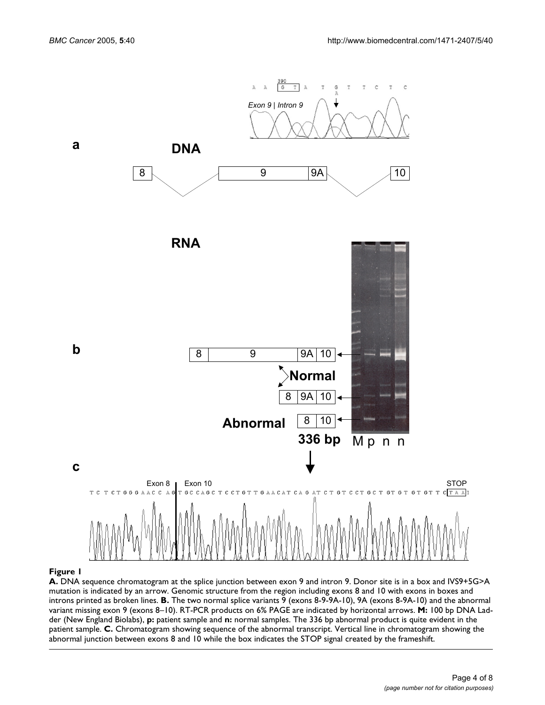<span id="page-3-0"></span>

#### **A.** mutation is indicated by an introns printed as broken lines **Figure 1** DNA sequence chromatogram at the splice arrow. Genomic structure from the region incl junction between exon 9 and intron 9. uding exons 8 and 10 with exons in boxes and Donor site is in a box and IVS9+5G>A

**A.** DNA sequence chromatogram at the splice junction between exon 9 and intron 9. Donor site is in a box and IVS9+5G>A mutation is indicated by an arrow. Genomic structure from the region including exons 8 and 10 with exons in boxes and introns printed as broken lines. **B.** The two normal splice variants 9 (exons 8-9-9A-10), 9A (exons 8-9A-10) and the abnormal variant missing exon 9 (exons 8–10). RT-PCR products on 6% PAGE are indicated by horizontal arrows. **M:** 100 bp DNA Ladder (New England Biolabs), **p:** patient sample and **n:** normal samples. The 336 bp abnormal product is quite evident in the patient sample. **C.** Chromatogram showing sequence of the abnormal transcript. Vertical line in chromatogram showing the abnormal junction between exons 8 and 10 while the box indicates the STOP signal created by the frameshift.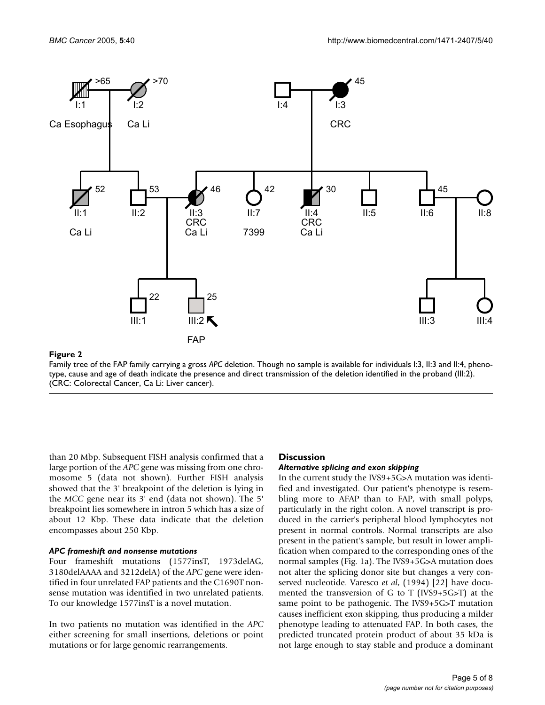<span id="page-4-0"></span>

# Figure 2

Family tree of the FAP family carrying a gross *APC* deletion. Though no sample is available for individuals I:3, II:3 and II:4, phenotype, cause and age of death indicate the presence and direct transmission of the deletion identified in the proband (III:2). (CRC: Colorectal Cancer, Ca Li: Liver cancer).

than 20 Mbp. Subsequent FISH analysis confirmed that a large portion of the *APC* gene was missing from one chromosome 5 (data not shown). Further FISH analysis showed that the 3' breakpoint of the deletion is lying in the *MCC* gene near its 3' end (data not shown). The 5' breakpoint lies somewhere in intron 5 which has a size of about 12 Kbp. These data indicate that the deletion encompasses about 250 Kbp.

#### *APC frameshift and nonsense mutations*

Four frameshift mutations (1577insT, 1973delAG, 3180delAAAA and 3212delA) of the *APC* gene were identified in four unrelated FAP patients and the C1690T nonsense mutation was identified in two unrelated patients. To our knowledge 1577insT is a novel mutation.

In two patients no mutation was identified in the *APC* either screening for small insertions, deletions or point mutations or for large genomic rearrangements.

# **Discussion**

#### *Alternative splicing and exon skipping*

In the current study the IVS9+5G>A mutation was identified and investigated. Our patient's phenotype is resembling more to AFAP than to FAP, with small polyps, particularly in the right colon. A novel transcript is produced in the carrier's peripheral blood lymphocytes not present in normal controls. Normal transcripts are also present in the patient's sample, but result in lower amplification when compared to the corresponding ones of the normal samples (Fig. [1a](#page-3-0)). The IVS9+5G>A mutation does not alter the splicing donor site but changes a very conserved nucleotide. Varesco *et al*, (1994) [22] have documented the transversion of G to T (IVS9+5G>T) at the same point to be pathogenic. The IVS9+5G>T mutation causes inefficient exon skipping, thus producing a milder phenotype leading to attenuated FAP. In both cases, the predicted truncated protein product of about 35 kDa is not large enough to stay stable and produce a dominant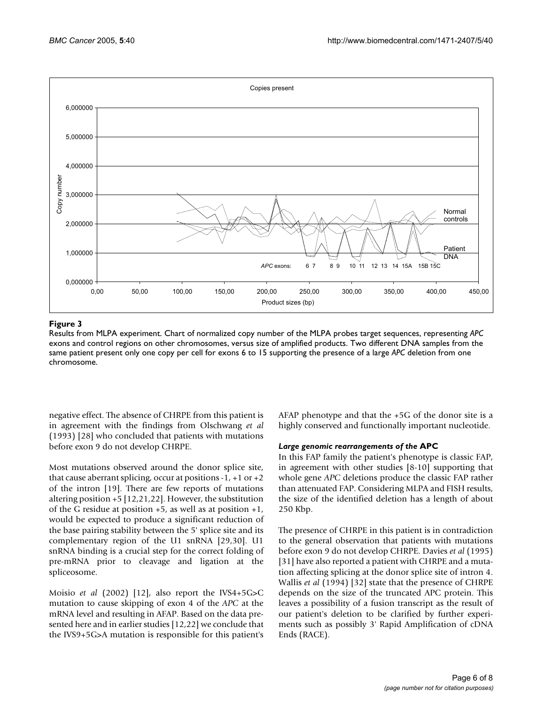<span id="page-5-0"></span>

# **Figure 3**

Results from MLPA experiment. Chart of normalized copy number of the MLPA probes target sequences, representing *APC*  exons and control regions on other chromosomes, versus size of amplified products. Two different DNA samples from the same patient present only one copy per cell for exons 6 to 15 supporting the presence of a large *APC* deletion from one chromosome.

negative effect. The absence of CHRPE from this patient is in agreement with the findings from Olschwang *et al* (1993) [28] who concluded that patients with mutations before exon 9 do not develop CHRPE.

Most mutations observed around the donor splice site, that cause aberrant splicing, occur at positions  $-1$ ,  $+1$  or  $+2$ of the intron [19]. There are few reports of mutations altering position +5 [12,21,22]. However, the substitution of the G residue at position +5, as well as at position +1, would be expected to produce a significant reduction of the base pairing stability between the 5' splice site and its complementary region of the U1 snRNA [29,30]. U1 snRNA binding is a crucial step for the correct folding of pre-mRNA prior to cleavage and ligation at the spliceosome.

Moisio *et al* (2002) [12], also report the IVS4+5G>C mutation to cause skipping of exon 4 of the *APC* at the mRNA level and resulting in AFAP. Based on the data presented here and in earlier studies [12,22] we conclude that the IVS9+5G>A mutation is responsible for this patient's AFAP phenotype and that the +5G of the donor site is a highly conserved and functionally important nucleotide.

# *Large genomic rearrangements of the* **APC**

In this FAP family the patient's phenotype is classic FAP, in agreement with other studies [8-10] supporting that whole gene *APC* deletions produce the classic FAP rather than attenuated FAP. Considering MLPA and FISH results, the size of the identified deletion has a length of about 250 Kbp.

The presence of CHRPE in this patient is in contradiction to the general observation that patients with mutations before exon 9 do not develop CHRPE. Davies *et al* (1995) [31] have also reported a patient with CHRPE and a mutation affecting splicing at the donor splice site of intron 4. Wallis *et al* (1994) [32] state that the presence of CHRPE depends on the size of the truncated APC protein. This leaves a possibility of a fusion transcript as the result of our patient's deletion to be clarified by further experiments such as possibly 3' Rapid Amplification of cDNA Ends (RACE).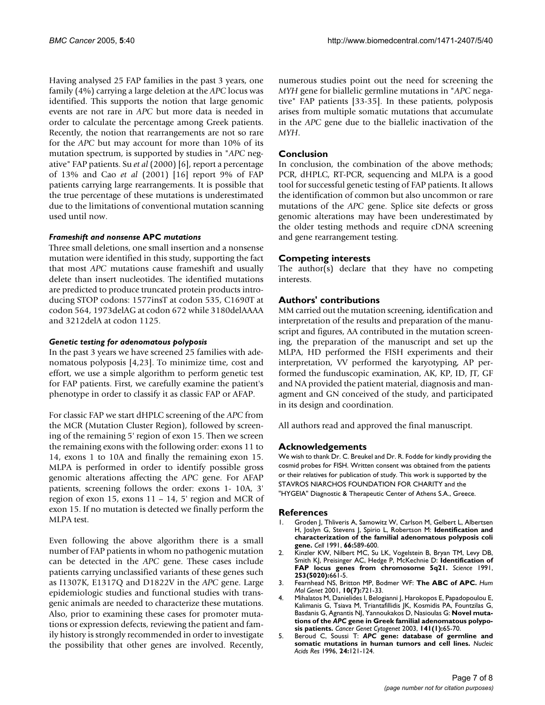Having analysed 25 FAP families in the past 3 years, one family (4%) carrying a large deletion at the *APC* locus was identified. This supports the notion that large genomic events are not rare in *APC* but more data is needed in order to calculate the percentage among Greek patients. Recently, the notion that rearrangements are not so rare for the *APC* but may account for more than 10% of its mutation spectrum, is supported by studies in "*APC* negative" FAP patients. Su *et al* (2000) [6], report a percentage of 13% and Cao *et al* (2001) [16] report 9% of FAP patients carrying large rearrangements. It is possible that the true percentage of these mutations is underestimated due to the limitations of conventional mutation scanning used until now.

### *Frameshift and nonsense* **APC** *mutations*

Three small deletions, one small insertion and a nonsense mutation were identified in this study, supporting the fact that most *APC* mutations cause frameshift and usually delete than insert nucleotides. The identified mutations are predicted to produce truncated protein products introducing STOP codons: 1577insT at codon 535, C1690T at codon 564, 1973delAG at codon 672 while 3180delAAAA and 3212delA at codon 1125.

### *Genetic testing for adenomatous polyposis*

In the past 3 years we have screened 25 families with adenomatous polyposis [4,23]. To minimize time, cost and effort, we use a simple algorithm to perform genetic test for FAP patients. First, we carefully examine the patient's phenotype in order to classify it as classic FAP or AFAP.

For classic FAP we start dHPLC screening of the *APC* from the MCR (Mutation Cluster Region), followed by screening of the remaining 5' region of exon 15. Then we screen the remaining exons with the following order: exons 11 to 14, exons 1 to 10A and finally the remaining exon 15. MLPA is performed in order to identify possible gross genomic alterations affecting the *APC* gene. For AFAP patients, screening follows the order: exons 1- 10A, 3' region of exon 15, exons 11 – 14, 5' region and MCR of exon 15. If no mutation is detected we finally perform the MLPA test.

Even following the above algorithm there is a small number of FAP patients in whom no pathogenic mutation can be detected in the *APC* gene. These cases include patients carrying unclassified variants of these genes such as I1307K, E1317Q and D1822V in the *APC* gene. Large epidemiologic studies and functional studies with transgenic animals are needed to characterize these mutations. Also, prior to examining these cases for promoter mutations or expression defects, reviewing the patient and family history is strongly recommended in order to investigate the possibility that other genes are involved. Recently,

numerous studies point out the need for screening the *MYH* gene for biallelic germline mutations in "*APC* negative" FAP patients [33-35]. In these patients, polyposis arises from multiple somatic mutations that accumulate in the *APC* gene due to the biallelic inactivation of the *MYH*.

# **Conclusion**

In conclusion, the combination of the above methods; PCR, dHPLC, RT-PCR, sequencing and MLPA is a good tool for successful genetic testing of FAP patients. It allows the identification of common but also uncommon or rare mutations of the *APC* gene. Splice site defects or gross genomic alterations may have been underestimated by the older testing methods and require cDNA screening and gene rearrangement testing.

# **Competing interests**

The author(s) declare that they have no competing interests.

# **Authors' contributions**

MM carried out the mutation screening, identification and interpretation of the results and preparation of the manuscript and figures, AA contributed in the mutation screening, the preparation of the manuscript and set up the MLPA, HD performed the FISH experiments and their interpretation, VV performed the karyotyping, AP performed the funduscopic examination, AK, KP, ID, JT, GF and NA provided the patient material, diagnosis and managment and GN conceived of the study, and participated in its design and coordination.

All authors read and approved the final manuscript.

# **Acknowledgements**

We wish to thank Dr. C. Breukel and Dr. R. Fodde for kindly providing the cosmid probes for FISH. Written consent was obtained from the patients or their relatives for publication of study. This work is supported by the STAVROS NIARCHOS FOUNDATION FOR CHARITY and the "HYGEIA" Diagnostic & Therapeutic Center of Athens S.A., Greece.

#### **References**

- 1. Groden J, Thliveris A, Samowitz W, Carlson M, Gelbert L, Albertsen H, Joslyn G, Stevens J, Spirio L, Robertson M: **[Identification and](http://www.ncbi.nlm.nih.gov/entrez/query.fcgi?cmd=Retrieve&db=PubMed&dopt=Abstract&list_uids=1651174) [characterization of the familial adenomatous polyposis coli](http://www.ncbi.nlm.nih.gov/entrez/query.fcgi?cmd=Retrieve&db=PubMed&dopt=Abstract&list_uids=1651174) [gene.](http://www.ncbi.nlm.nih.gov/entrez/query.fcgi?cmd=Retrieve&db=PubMed&dopt=Abstract&list_uids=1651174)** *Cell* 1991, **66:**589-600.
- 2. Kinzler KW, Nilbert MC, Su LK, Vogelstein B, Bryan TM, Levy DB, Smith KJ, Preisinger AC, Hedge P, McKechnie D: **[Identification of](http://www.ncbi.nlm.nih.gov/entrez/query.fcgi?cmd=Retrieve&db=PubMed&dopt=Abstract&list_uids=1651562) [FAP locus genes from chromosome 5q21.](http://www.ncbi.nlm.nih.gov/entrez/query.fcgi?cmd=Retrieve&db=PubMed&dopt=Abstract&list_uids=1651562)** *Science* 1991, **253(5020):**661-5.
- 3. Fearnhead NS, Britton MP, Bodmer WF: **[The ABC of APC.](http://www.ncbi.nlm.nih.gov/entrez/query.fcgi?cmd=Retrieve&db=PubMed&dopt=Abstract&list_uids=11257105)** *Hum Mol Genet* 2001, **10(7):**721-33.
- 4. Mihalatos M, Danielides I, Belogianni J, Harokopos E, Papadopoulou E, Kalimanis G, Tsiava M, Triantafillidis JK, Kosmidis PA, Fountzilas G, Basdanis G, Agnantis NJ, Yannoukakos D, Nasioulas G: **Novel mutations of the** *APC* **[gene in Greek familial adenomatous polypo](http://www.ncbi.nlm.nih.gov/entrez/query.fcgi?cmd=Retrieve&db=PubMed&dopt=Abstract&list_uids=12581900)[sis patients.](http://www.ncbi.nlm.nih.gov/entrez/query.fcgi?cmd=Retrieve&db=PubMed&dopt=Abstract&list_uids=12581900)** *Cancer Genet Cytogenet* 2003, **141(1):**65-70.
- 5. Beroud C, Soussi T: *APC* **[gene: database of germline and](http://www.ncbi.nlm.nih.gov/entrez/query.fcgi?cmd=Retrieve&db=PubMed&dopt=Abstract&list_uids=8594558) [somatic mutations in human tumors and cell lines.](http://www.ncbi.nlm.nih.gov/entrez/query.fcgi?cmd=Retrieve&db=PubMed&dopt=Abstract&list_uids=8594558)** *Nucleic Acids Res* 1996, **24:**121-124.